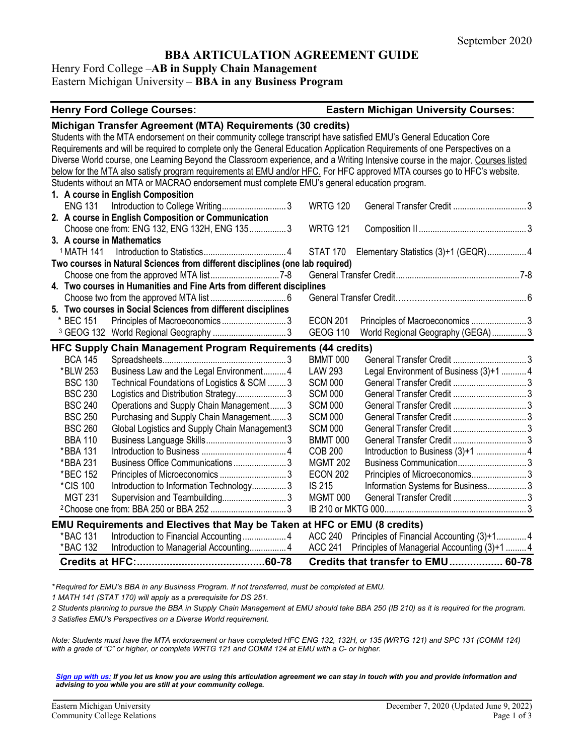# **BBA ARTICULATION AGREEMENT GUIDE**

# Henry Ford College –**AB in Supply Chain Management**

# Eastern Michigan University – **BBA in any Business Program**

#### **Henry Ford College Courses: Eastern Michigan University Courses:**

| Michigan Transfer Agreement (MTA) Requirements (30 credits)                                                                     |                                                              |  |  |  |
|---------------------------------------------------------------------------------------------------------------------------------|--------------------------------------------------------------|--|--|--|
| Students with the MTA endorsement on their community college transcript have satisfied EMU's General Education Core             |                                                              |  |  |  |
| Requirements and will be required to complete only the General Education Application Requirements of one Perspectives on a      |                                                              |  |  |  |
| Diverse World course, one Learning Beyond the Classroom experience, and a Writing Intensive course in the major. Courses listed |                                                              |  |  |  |
| below for the MTA also satisfy program requirements at EMU and/or HFC. For HFC approved MTA courses go to HFC's website.        |                                                              |  |  |  |
| Students without an MTA or MACRAO endorsement must complete EMU's general education program.                                    |                                                              |  |  |  |
| 1. A course in English Composition                                                                                              |                                                              |  |  |  |
| ENG 131 Introduction to College Writing3                                                                                        | <b>WRTG 120</b>                                              |  |  |  |
| 2. A course in English Composition or Communication                                                                             |                                                              |  |  |  |
| Choose one from: ENG 132, ENG 132H, ENG 1353                                                                                    | <b>WRTG 121</b>                                              |  |  |  |
| 3. A course in Mathematics                                                                                                      |                                                              |  |  |  |
| <sup>1</sup> MATH 141                                                                                                           | STAT 170 Elementary Statistics (3)+1 (GEQR)  4               |  |  |  |
| Two courses in Natural Sciences from different disciplines (one lab required)                                                   |                                                              |  |  |  |
|                                                                                                                                 |                                                              |  |  |  |
| 4. Two courses in Humanities and Fine Arts from different disciplines                                                           |                                                              |  |  |  |
|                                                                                                                                 |                                                              |  |  |  |
| 5. Two courses in Social Sciences from different disciplines                                                                    |                                                              |  |  |  |
| * BEC 151                                                                                                                       | <b>ECON 201</b><br>Principles of Macroeconomics  3           |  |  |  |
| <sup>3</sup> GEOG 132 World Regional Geography 3                                                                                | <b>GEOG 110</b><br>World Regional Geography (GEGA)3          |  |  |  |
| HFC Supply Chain Management Program Requirements (44 credits)                                                                   |                                                              |  |  |  |
| <b>BCA 145</b>                                                                                                                  | <b>BMMT 000</b>                                              |  |  |  |
| Business Law and the Legal Environment 4<br>*BLW 253                                                                            | Legal Environment of Business (3)+1  4<br><b>LAW 293</b>     |  |  |  |
| <b>BSC 130</b><br>Technical Foundations of Logistics & SCM 3                                                                    | <b>SCM 000</b>                                               |  |  |  |
| <b>BSC 230</b><br>Logistics and Distribution Strategy 3                                                                         | <b>SCM 000</b>                                               |  |  |  |
| <b>BSC 240</b><br>Operations and Supply Chain Management3                                                                       | <b>SCM 000</b>                                               |  |  |  |
| <b>BSC 250</b><br>Purchasing and Supply Chain Management3                                                                       | <b>SCM 000</b>                                               |  |  |  |
| <b>BSC 260</b><br>Global Logistics and Supply Chain Management3                                                                 | <b>SCM 000</b>                                               |  |  |  |
| <b>BBA 110</b>                                                                                                                  | <b>BMMT 000</b>                                              |  |  |  |
| *BBA 131                                                                                                                        | Introduction to Business (3)+1  4<br><b>COB 200</b>          |  |  |  |
| Business Office Communications  3<br>*BBA 231                                                                                   | <b>MGMT 202</b>                                              |  |  |  |
| *BEC 152                                                                                                                        | Principles of Microeconomics 3<br><b>ECON 202</b>            |  |  |  |
| *CIS 100<br>Introduction to Information Technology3                                                                             | <b>IS 215</b><br>Information Systems for Business3           |  |  |  |
| <b>MGT 231</b>                                                                                                                  | <b>MGMT 000</b>                                              |  |  |  |
|                                                                                                                                 |                                                              |  |  |  |
| EMU Requirements and Electives that May be Taken at HFC or EMU (8 credits)                                                      |                                                              |  |  |  |
| *BAC 131                                                                                                                        | Principles of Financial Accounting (3)+1 4<br><b>ACC 240</b> |  |  |  |
| *BAC 132<br>Introduction to Managerial Accounting 4                                                                             | ACC 241<br>Principles of Managerial Accounting (3)+1  4      |  |  |  |
|                                                                                                                                 | Credits that transfer to EMU 60-78                           |  |  |  |

*\* Required for EMU's BBA in any Business Program. If not transferred, must be completed at EMU.* 

*1 MATH 141 (STAT 170) will apply as a prerequisite for DS 251.*

*2 Students planning to pursue the BBA in Supply Chain Management at EMU should take BBA 250 (IB 210) as it is required for the program.*

*3 Satisfies EMU's Perspectives on a Diverse World requirement.*

*Note: Students must have the MTA endorsement or have completed HFC ENG 132, 132H, or 135 (WRTG 121) and SPC 131 (COMM 124) with a grade of "C" or higher, or complete WRTG 121 and COMM 124 at EMU with a C- or higher.*

*[Sign up with us:](https://www.emich.edu/ccr/articulation-agreements/signup.php) If you let us know you are using this articulation agreement we can stay in touch with you and provide information and advising to you while you are still at your community college.*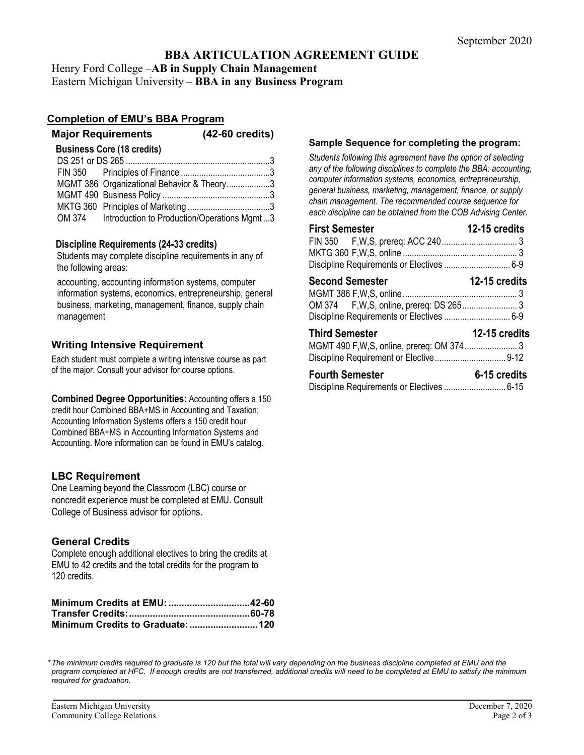# **BBA ARTICULATION AGREEMENT GUIDE**

Henry Ford College –**AB in Supply Chain Management** Eastern Michigan University – **BBA in any Business Program**

## **Completion of EMU's BBA Program**

| <b>Major Requirements</b>                  | $(42-60 \text{ credits})$ |
|--------------------------------------------|---------------------------|
| <b>Business Core (18 credits)</b>          |                           |
|                                            |                           |
|                                            |                           |
| MGMT 386 Organizational Behavior & Theory3 |                           |
|                                            |                           |
|                                            |                           |

|        | $1000 - 1100$ power and the contract of the contract of the contract of the contract of the contract of the contract of the contract of $\sim 0.00$ contract of the contract of the contract of the contract of the contract of |
|--------|---------------------------------------------------------------------------------------------------------------------------------------------------------------------------------------------------------------------------------|
| OM 374 | Introduction to Production/Operations Mgmt3                                                                                                                                                                                     |

## **Discipline Requirements (24-33 credits)**

Students may complete discipline requirements in any of the following areas:

accounting, accounting information systems, computer information systems, economics, entrepreneurship, general business, marketing, management, finance, supply chain management

# **Writing Intensive Requirement**

Each student must complete a writing intensive course as part of the major. Consult your advisor for course options.

**Combined Degree Opportunities:** Accounting offers a 150 credit hour Combined BBA+MS in Accounting and Taxation; Accounting Information Systems offers a 150 credit hour Combined BBA+MS in Accounting Information Systems and Accounting. More information can be found in EMU's catalog.

## **LBC Requirement**

One Learning beyond the Classroom (LBC) course or noncredit experience must be completed at EMU. Consult College of Business advisor for options.

## **General Credits**

Complete enough additional electives to bring the credits at EMU to 42 credits and the total credits for the program to 120 credits.

### **Sample Sequence for completing the program:**

*Students following this agreement have the option of selecting any of the following disciplines to complete the BBA: accounting, computer information systems, economics, entrepreneurship, general business, marketing, management, finance, or supply chain management. The recommended course sequence for each discipline can be obtained from the COB Advising Center.* 

| <b>First Semester</b>                                               | 12-15 credits        |
|---------------------------------------------------------------------|----------------------|
|                                                                     |                      |
| <b>Second Semester</b><br>Discipline Requirements or Electives  6-9 | <b>12-15 credits</b> |
| <b>Third Semester</b>                                               | 12-15 credits        |
| <b>Fourth Semester</b>                                              | 6-15 credits         |

*\* The minimum credits required to graduate is 120 but the total will vary depending on the business discipline completed at EMU and the program completed at HFC. If enough credits are not transferred, additional credits will need to be completed at EMU to satisfy the minimum required for graduation.*